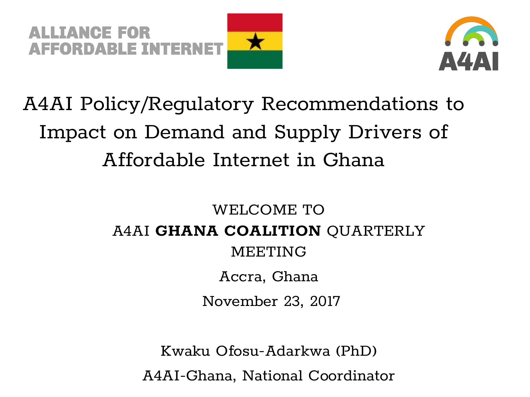



## A4AI Policy/Regulatory Recommendations to Impact on Demand and Supply Drivers of Affordable Internet in Ghana

## WELCOME TO A4AI **GHANA COALITION** QUARTERLY MEETING Accra, Ghana November 23, 2017

Kwaku Ofosu-Adarkwa (PhD)

A4AI-Ghana, National Coordinator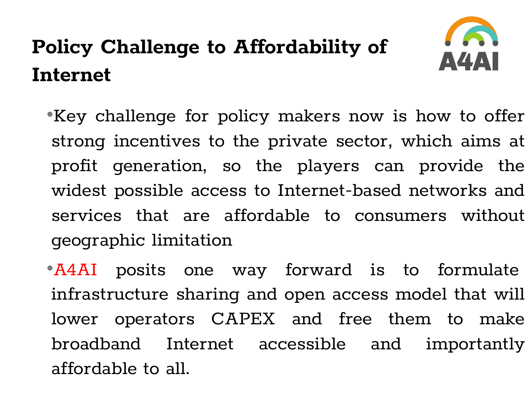# **Policy Challenge to Affordability of Internet**



•Key challenge for policy makers now is how to offer strong incentives to the private sector, which aims at profit generation, so the players can provide the widest possible access to Internet-based networks and services that are affordable to consumers without geographic limitation

•A4AI posits one way forward is to formulate infrastructure sharing and open access model that will lower operators CAPEX and free them to make broadband Internet accessible and importantly affordable to all.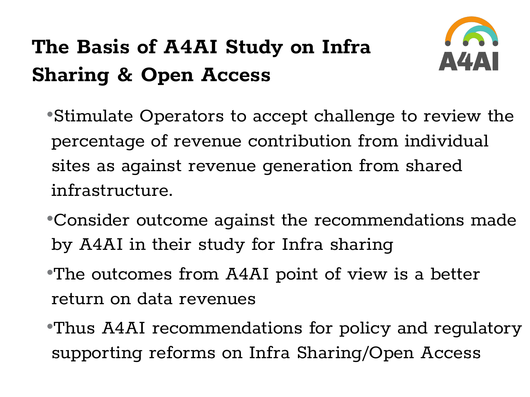## **The Basis of A4AI Study on Infra Sharing & Open Access**



•Stimulate Operators to accept challenge to review the percentage of revenue contribution from individual sites as against revenue generation from shared infrastructure.

- •Consider outcome against the recommendations made by A4AI in their study for Infra sharing
- •The outcomes from A4AI point of view is a better return on data revenues
- •Thus A4AI recommendations for policy and regulatory supporting reforms on Infra Sharing/Open Access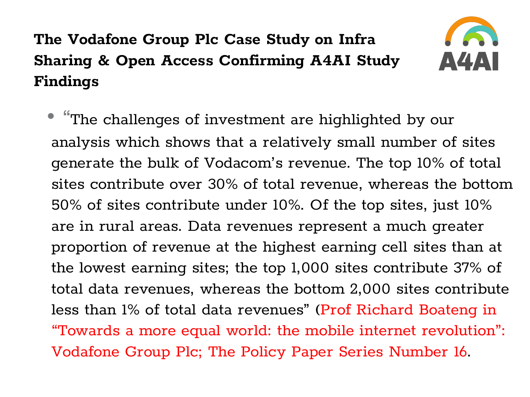#### **The Vodafone Group Plc Case Study on Infra Sharing & Open Access Confirming A4AI Study Findings**



• "The challenges of investment are highlighted by our analysis which shows that a relatively small number of sites generate the bulk of Vodacom's revenue. The top 10% of total sites contribute over 30% of total revenue, whereas the bottom 50% of sites contribute under 10%. Of the top sites, just 10% are in rural areas. Data revenues represent a much greater proportion of revenue at the highest earning cell sites than at the lowest earning sites; the top 1,000 sites contribute 37% of total data revenues, whereas the bottom 2,000 sites contribute less than 1% of total data revenues" (Prof Richard Boateng in "Towards a more equal world: the mobile internet revolution": Vodafone Group Plc; The Policy Paper Series Number 16.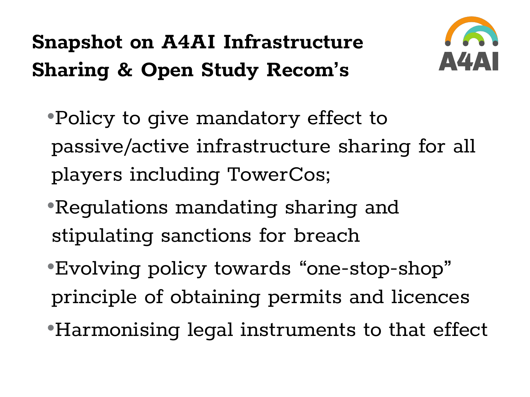# **Snapshot on A4AI Infrastructure Sharing & Open Study Recom's**



•Policy to give mandatory effect to passive/active infrastructure sharing for all players including TowerCos;

- •Regulations mandating sharing and stipulating sanctions for breach
- •Evolving policy towards "one-stop-shop" principle of obtaining permits and licences
- •Harmonising legal instruments to that effect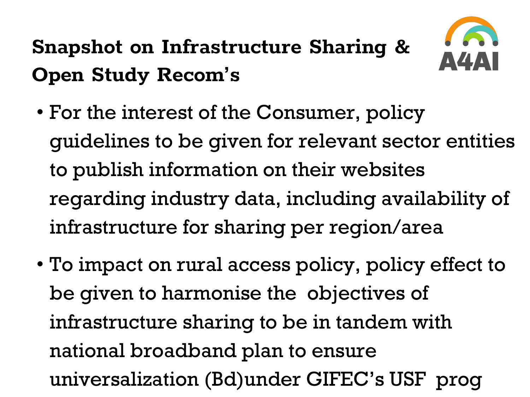# **Snapshot on Infrastructure Sharing & Open Study Recom's**



- For the interest of the Consumer, policy guidelines to be given for relevant sector entities to publish information on their websites regarding industry data, including availability of infrastructure for sharing per region/area
- To impact on rural access policy, policy effect to be given to harmonise the objectives of infrastructure sharing to be in tandem with national broadband plan to ensure universalization (Bd)under GIFEC's USF prog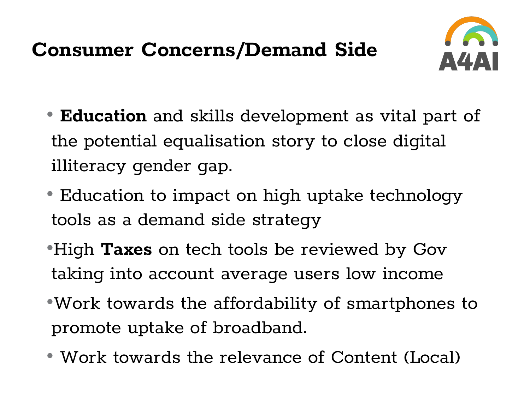## **Consumer Concerns/Demand Side**



- **Education** and skills development as vital part of the potential equalisation story to close digital illiteracy gender gap.
- Education to impact on high uptake technology tools as a demand side strategy
- •High **Taxes** on tech tools be reviewed by Gov taking into account average users low income
- •Work towards the affordability of smartphones to promote uptake of broadband.
- Work towards the relevance of Content (Local)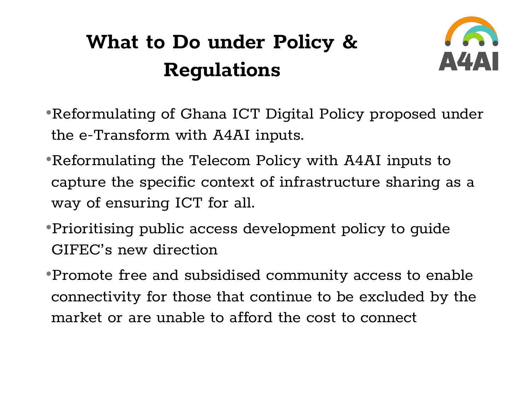## **What to Do under Policy & Regulations**



- •Reformulating of Ghana ICT Digital Policy proposed under the e-Transform with A4AI inputs.
- •Reformulating the Telecom Policy with A4AI inputs to capture the specific context of infrastructure sharing as a way of ensuring ICT for all.
- •Prioritising public access development policy to guide GIFEC's new direction
- •Promote free and subsidised community access to enable connectivity for those that continue to be excluded by the market or are unable to afford the cost to connect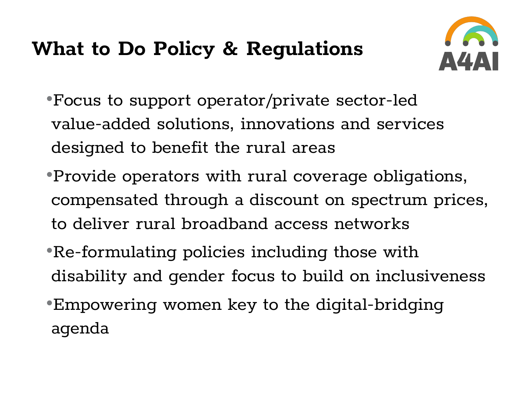#### **What to Do Policy & Regulations**



- •Focus to support operator/private sector-led value-added solutions, innovations and services designed to benefit the rural areas
- •Provide operators with rural coverage obligations, compensated through a discount on spectrum prices, to deliver rural broadband access networks
- •Re-formulating policies including those with disability and gender focus to build on inclusiveness
- •Empowering women key to the digital-bridging agenda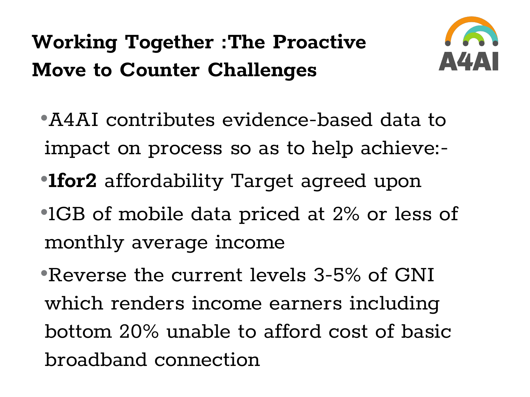## **Working Together :The Proactive Move to Counter Challenges**



- •A4AI contributes evidence-based data to impact on process so as to help achieve:-
- •**1for2** affordability Target agreed upon
- •1GB of mobile data priced at 2% or less of monthly average income
- •Reverse the current levels 3-5% of GNI which renders income earners including bottom 20% unable to afford cost of basic broadband connection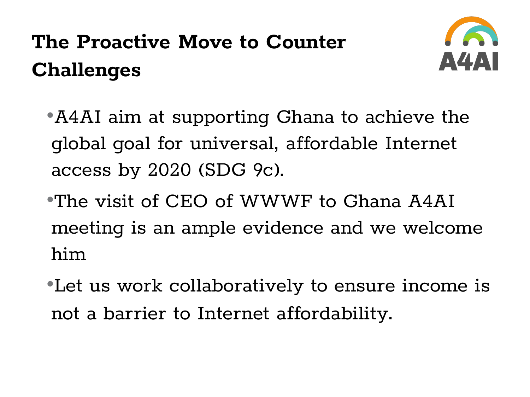# **The Proactive Move to Counter Challenges**



•A4AI aim at supporting Ghana to achieve the global goal for universal, affordable Internet access by 2020 (SDG 9c).

- •The visit of CEO of WWWF to Ghana A4AI meeting is an ample evidence and we welcome him
- •Let us work collaboratively to ensure income is not a barrier to Internet affordability.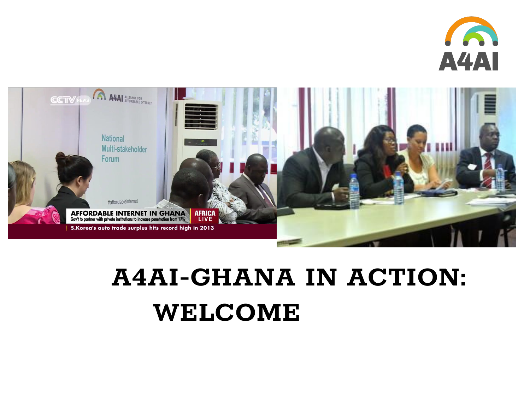



# **A4AI-GHANA IN ACTION: WELCOME**